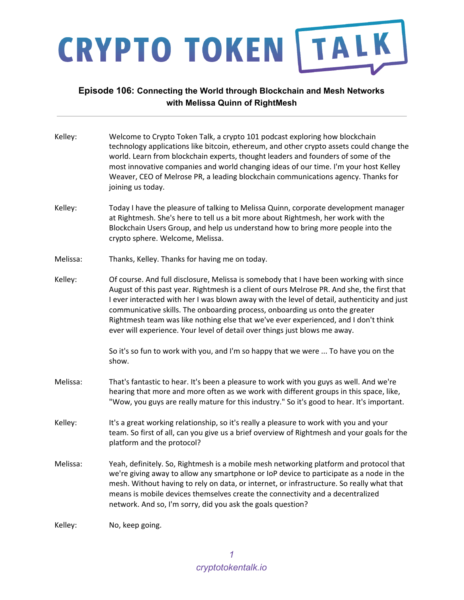#### **Episode 106: Connecting the World through Blockchain and Mesh Networks with Melissa Quinn of RightMesh**

| Kelley:  | Welcome to Crypto Token Talk, a crypto 101 podcast exploring how blockchain<br>technology applications like bitcoin, ethereum, and other crypto assets could change the<br>world. Learn from blockchain experts, thought leaders and founders of some of the<br>most innovative companies and world changing ideas of our time. I'm your host Kelley<br>Weaver, CEO of Melrose PR, a leading blockchain communications agency. Thanks for<br>joining us today.                                                                             |
|----------|--------------------------------------------------------------------------------------------------------------------------------------------------------------------------------------------------------------------------------------------------------------------------------------------------------------------------------------------------------------------------------------------------------------------------------------------------------------------------------------------------------------------------------------------|
| Kelley:  | Today I have the pleasure of talking to Melissa Quinn, corporate development manager<br>at Rightmesh. She's here to tell us a bit more about Rightmesh, her work with the<br>Blockchain Users Group, and help us understand how to bring more people into the<br>crypto sphere. Welcome, Melissa.                                                                                                                                                                                                                                          |
| Melissa: | Thanks, Kelley. Thanks for having me on today.                                                                                                                                                                                                                                                                                                                                                                                                                                                                                             |
| Kelley:  | Of course. And full disclosure, Melissa is somebody that I have been working with since<br>August of this past year. Rightmesh is a client of ours Melrose PR. And she, the first that<br>I ever interacted with her I was blown away with the level of detail, authenticity and just<br>communicative skills. The onboarding process, onboarding us onto the greater<br>Rightmesh team was like nothing else that we've ever experienced, and I don't think<br>ever will experience. Your level of detail over things just blows me away. |
|          | So it's so fun to work with you, and I'm so happy that we were  To have you on the<br>show.                                                                                                                                                                                                                                                                                                                                                                                                                                                |
| Melissa: | That's fantastic to hear. It's been a pleasure to work with you guys as well. And we're<br>hearing that more and more often as we work with different groups in this space, like,<br>"Wow, you guys are really mature for this industry." So it's good to hear. It's important.                                                                                                                                                                                                                                                            |
| Kelley:  | It's a great working relationship, so it's really a pleasure to work with you and your<br>team. So first of all, can you give us a brief overview of Rightmesh and your goals for the<br>platform and the protocol?                                                                                                                                                                                                                                                                                                                        |
| Melissa: | Yeah, definitely. So, Rightmesh is a mobile mesh networking platform and protocol that<br>we're giving away to allow any smartphone or IoP device to participate as a node in the<br>mesh. Without having to rely on data, or internet, or infrastructure. So really what that<br>means is mobile devices themselves create the connectivity and a decentralized<br>network. And so, I'm sorry, did you ask the goals question?                                                                                                            |
| Kelley:  | No, keep going.                                                                                                                                                                                                                                                                                                                                                                                                                                                                                                                            |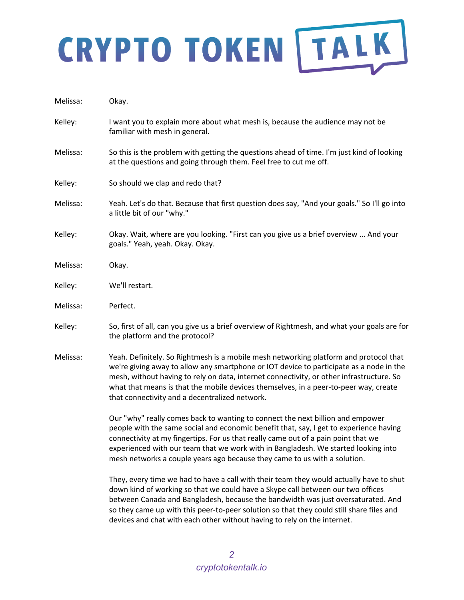| Melissa: | Okay.                                                                                                                                                                                                                                                                                                                                                                                                                                  |
|----------|----------------------------------------------------------------------------------------------------------------------------------------------------------------------------------------------------------------------------------------------------------------------------------------------------------------------------------------------------------------------------------------------------------------------------------------|
| Kelley:  | I want you to explain more about what mesh is, because the audience may not be<br>familiar with mesh in general.                                                                                                                                                                                                                                                                                                                       |
| Melissa: | So this is the problem with getting the questions ahead of time. I'm just kind of looking<br>at the questions and going through them. Feel free to cut me off.                                                                                                                                                                                                                                                                         |
| Kelley:  | So should we clap and redo that?                                                                                                                                                                                                                                                                                                                                                                                                       |
| Melissa: | Yeah. Let's do that. Because that first question does say, "And your goals." So I'll go into<br>a little bit of our "why."                                                                                                                                                                                                                                                                                                             |
| Kelley:  | Okay. Wait, where are you looking. "First can you give us a brief overview  And your<br>goals." Yeah, yeah. Okay. Okay.                                                                                                                                                                                                                                                                                                                |
| Melissa: | Okay.                                                                                                                                                                                                                                                                                                                                                                                                                                  |
| Kelley:  | We'll restart.                                                                                                                                                                                                                                                                                                                                                                                                                         |
| Melissa: | Perfect.                                                                                                                                                                                                                                                                                                                                                                                                                               |
| Kelley:  | So, first of all, can you give us a brief overview of Rightmesh, and what your goals are for<br>the platform and the protocol?                                                                                                                                                                                                                                                                                                         |
| Melissa: | Yeah. Definitely. So Rightmesh is a mobile mesh networking platform and protocol that<br>we're giving away to allow any smartphone or IOT device to participate as a node in the<br>mesh, without having to rely on data, internet connectivity, or other infrastructure. So<br>what that means is that the mobile devices themselves, in a peer-to-peer way, create<br>that connectivity and a decentralized network.                 |
|          | Our "why" really comes back to wanting to connect the next billion and empower<br>people with the same social and economic benefit that, say, I get to experience having<br>connectivity at my fingertips. For us that really came out of a pain point that we<br>experienced with our team that we work with in Bangladesh. We started looking into<br>mesh networks a couple years ago because they came to us with a solution.      |
|          | They, every time we had to have a call with their team they would actually have to shut<br>down kind of working so that we could have a Skype call between our two offices<br>between Canada and Bangladesh, because the bandwidth was just oversaturated. And<br>so they came up with this peer-to-peer solution so that they could still share files and<br>devices and chat with each other without having to rely on the internet. |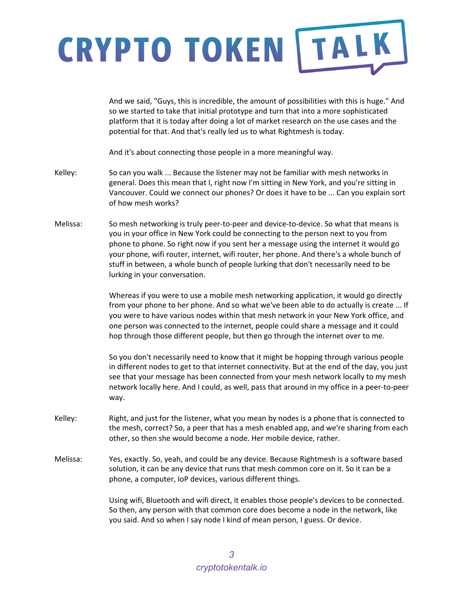And we said, "Guys, this is incredible, the amount of possibilities with this is huge." And so we started to take that initial prototype and turn that into a more sophisticated platform that it is today after doing a lot of market research on the use cases and the potential for that. And that's really led us to what Rightmesh is today.

And it's about connecting those people in a more meaningful way.

- Kelley: So can you walk ... Because the listener may not be familiar with mesh networks in general. Does this mean that I, right now I'm sitting in New York, and you're sitting in Vancouver. Could we connect our phones? Or does it have to be ... Can you explain sort of how mesh works?
- Melissa: So mesh networking is truly peer-to-peer and device-to-device. So what that means is you in your office in New York could be connecting to the person next to you from phone to phone. So right now if you sent her a message using the internet it would go your phone, wifi router, internet, wifi router, her phone. And there's a whole bunch of stuff in between, a whole bunch of people lurking that don't necessarily need to be lurking in your conversation.

Whereas if you were to use a mobile mesh networking application, it would go directly from your phone to her phone. And so what we've been able to do actually is create ... If you were to have various nodes within that mesh network in your New York office, and one person was connected to the internet, people could share a message and it could hop through those different people, but then go through the internet over to me.

So you don't necessarily need to know that it might be hopping through various people in different nodes to get to that internet connectivity. But at the end of the day, you just see that your message has been connected from your mesh network locally to my mesh network locally here. And I could, as well, pass that around in my office in a peer-to-peer way.

- Kelley: Right, and just for the listener, what you mean by nodes is a phone that is connected to the mesh, correct? So, a peer that has a mesh enabled app, and we're sharing from each other, so then she would become a node. Her mobile device, rather.
- Melissa: Yes, exactly. So, yeah, and could be any device. Because Rightmesh is a software based solution, it can be any device that runs that mesh common core on it. So it can be a phone, a computer, IoP devices, various different things.

Using wifi, Bluetooth and wifi direct, it enables those people's devices to be connected. So then, any person with that common core does become a node in the network, like you said. And so when I say node I kind of mean person, I guess. Or device.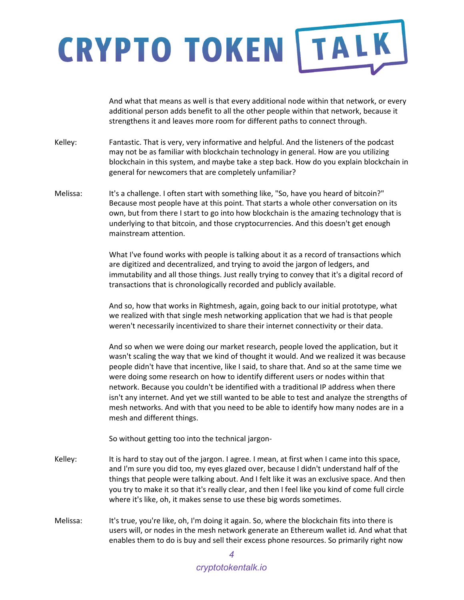And what that means as well is that every additional node within that network, or every additional person adds benefit to all the other people within that network, because it strengthens it and leaves more room for different paths to connect through.

- Kelley: Fantastic. That is very, very informative and helpful. And the listeners of the podcast may not be as familiar with blockchain technology in general. How are you utilizing blockchain in this system, and maybe take a step back. How do you explain blockchain in general for newcomers that are completely unfamiliar?
- Melissa: It's a challenge. I often start with something like, "So, have you heard of bitcoin?" Because most people have at this point. That starts a whole other conversation on its own, but from there I start to go into how blockchain is the amazing technology that is underlying to that bitcoin, and those cryptocurrencies. And this doesn't get enough mainstream attention.

What I've found works with people is talking about it as a record of transactions which are digitized and decentralized, and trying to avoid the jargon of ledgers, and immutability and all those things. Just really trying to convey that it's a digital record of transactions that is chronologically recorded and publicly available.

And so, how that works in Rightmesh, again, going back to our initial prototype, what we realized with that single mesh networking application that we had is that people weren't necessarily incentivized to share their internet connectivity or their data.

And so when we were doing our market research, people loved the application, but it wasn't scaling the way that we kind of thought it would. And we realized it was because people didn't have that incentive, like I said, to share that. And so at the same time we were doing some research on how to identify different users or nodes within that network. Because you couldn't be identified with a traditional IP address when there isn't any internet. And yet we still wanted to be able to test and analyze the strengths of mesh networks. And with that you need to be able to identify how many nodes are in a mesh and different things.

So without getting too into the technical jargon-

- Kelley: It is hard to stay out of the jargon. I agree. I mean, at first when I came into this space, and I'm sure you did too, my eyes glazed over, because I didn't understand half of the things that people were talking about. And I felt like it was an exclusive space. And then you try to make it so that it's really clear, and then I feel like you kind of come full circle where it's like, oh, it makes sense to use these big words sometimes.
- Melissa: It's true, you're like, oh, I'm doing it again. So, where the blockchain fits into there is users will, or nodes in the mesh network generate an Ethereum wallet id. And what that enables them to do is buy and sell their excess phone resources. So primarily right now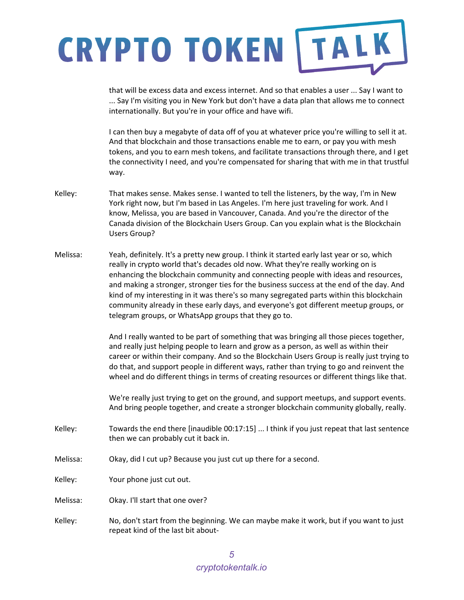that will be excess data and excess internet. And so that enables a user ... Say I want to ... Say I'm visiting you in New York but don't have a data plan that allows me to connect internationally. But you're in your office and have wifi.

I can then buy a megabyte of data off of you at whatever price you're willing to sell it at. And that blockchain and those transactions enable me to earn, or pay you with mesh tokens, and you to earn mesh tokens, and facilitate transactions through there, and I get the connectivity I need, and you're compensated for sharing that with me in that trustful way.

- Kelley: That makes sense. Makes sense. I wanted to tell the listeners, by the way, I'm in New York right now, but I'm based in Las Angeles. I'm here just traveling for work. And I know, Melissa, you are based in Vancouver, Canada. And you're the director of the Canada division of the Blockchain Users Group. Can you explain what is the Blockchain Users Group?
- Melissa: Yeah, definitely. It's a pretty new group. I think it started early last year or so, which really in crypto world that's decades old now. What they're really working on is enhancing the blockchain community and connecting people with ideas and resources, and making a stronger, stronger ties for the business success at the end of the day. And kind of my interesting in it was there's so many segregated parts within this blockchain community already in these early days, and everyone's got different meetup groups, or telegram groups, or WhatsApp groups that they go to.

And I really wanted to be part of something that was bringing all those pieces together, and really just helping people to learn and grow as a person, as well as within their career or within their company. And so the Blockchain Users Group is really just trying to do that, and support people in different ways, rather than trying to go and reinvent the wheel and do different things in terms of creating resources or different things like that.

We're really just trying to get on the ground, and support meetups, and support events. And bring people together, and create a stronger blockchain community globally, really.

- Kelley: Towards the end there [inaudible 00:17:15] ... I think if you just repeat that last sentence then we can probably cut it back in.
- Melissa: Okay, did I cut up? Because you just cut up there for a second.
- Kelley: Your phone just cut out.
- Melissa: Okay. I'll start that one over?
- Kelley: No, don't start from the beginning. We can maybe make it work, but if you want to just repeat kind of the last bit about-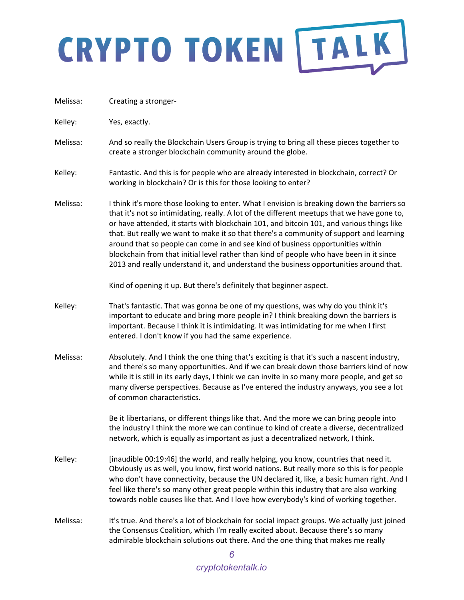| Melissa: | Creating a stronger-                                                                                                                                                                                                                                                                                                                                                                                                                                                                                                                                                                                                                                     |
|----------|----------------------------------------------------------------------------------------------------------------------------------------------------------------------------------------------------------------------------------------------------------------------------------------------------------------------------------------------------------------------------------------------------------------------------------------------------------------------------------------------------------------------------------------------------------------------------------------------------------------------------------------------------------|
| Kelley:  | Yes, exactly.                                                                                                                                                                                                                                                                                                                                                                                                                                                                                                                                                                                                                                            |
| Melissa: | And so really the Blockchain Users Group is trying to bring all these pieces together to<br>create a stronger blockchain community around the globe.                                                                                                                                                                                                                                                                                                                                                                                                                                                                                                     |
| Kelley:  | Fantastic. And this is for people who are already interested in blockchain, correct? Or<br>working in blockchain? Or is this for those looking to enter?                                                                                                                                                                                                                                                                                                                                                                                                                                                                                                 |
| Melissa: | I think it's more those looking to enter. What I envision is breaking down the barriers so<br>that it's not so intimidating, really. A lot of the different meetups that we have gone to,<br>or have attended, it starts with blockchain 101, and bitcoin 101, and various things like<br>that. But really we want to make it so that there's a community of support and learning<br>around that so people can come in and see kind of business opportunities within<br>blockchain from that initial level rather than kind of people who have been in it since<br>2013 and really understand it, and understand the business opportunities around that. |
|          | Kind of opening it up. But there's definitely that beginner aspect.                                                                                                                                                                                                                                                                                                                                                                                                                                                                                                                                                                                      |
| Kelley:  | That's fantastic. That was gonna be one of my questions, was why do you think it's<br>important to educate and bring more people in? I think breaking down the barriers is<br>important. Because I think it is intimidating. It was intimidating for me when I first<br>entered. I don't know if you had the same experience.                                                                                                                                                                                                                                                                                                                            |
| Melissa: | Absolutely. And I think the one thing that's exciting is that it's such a nascent industry,<br>and there's so many opportunities. And if we can break down those barriers kind of now<br>while it is still in its early days, I think we can invite in so many more people, and get so<br>many diverse perspectives. Because as I've entered the industry anyways, you see a lot<br>of common characteristics.                                                                                                                                                                                                                                           |
|          | Be it libertarians, or different things like that. And the more we can bring people into<br>the industry I think the more we can continue to kind of create a diverse, decentralized<br>network, which is equally as important as just a decentralized network, I think.                                                                                                                                                                                                                                                                                                                                                                                 |
| Kelley:  | [inaudible 00:19:46] the world, and really helping, you know, countries that need it.<br>Obviously us as well, you know, first world nations. But really more so this is for people<br>who don't have connectivity, because the UN declared it, like, a basic human right. And I<br>feel like there's so many other great people within this industry that are also working<br>towards noble causes like that. And I love how everybody's kind of working together.                                                                                                                                                                                      |
| Melissa: | It's true. And there's a lot of blockchain for social impact groups. We actually just joined<br>the Consensus Coalition, which I'm really excited about. Because there's so many<br>admirable blockchain solutions out there. And the one thing that makes me really<br>6                                                                                                                                                                                                                                                                                                                                                                                |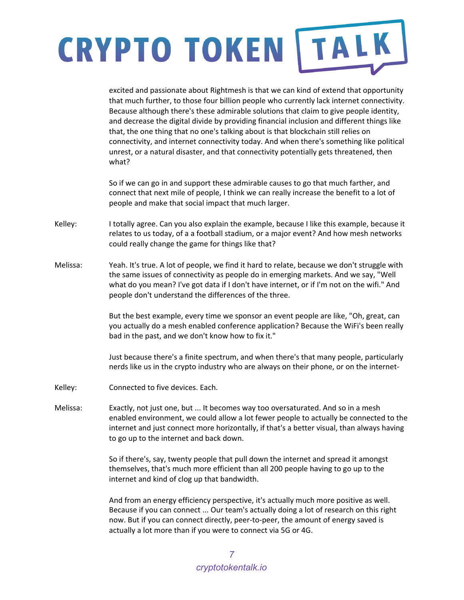excited and passionate about Rightmesh is that we can kind of extend that opportunity that much further, to those four billion people who currently lack internet connectivity. Because although there's these admirable solutions that claim to give people identity, and decrease the digital divide by providing financial inclusion and different things like that, the one thing that no one's talking about is that blockchain still relies on connectivity, and internet connectivity today. And when there's something like political unrest, or a natural disaster, and that connectivity potentially gets threatened, then what?

So if we can go in and support these admirable causes to go that much farther, and connect that next mile of people, I think we can really increase the benefit to a lot of people and make that social impact that much larger.

- Kelley: I totally agree. Can you also explain the example, because I like this example, because it relates to us today, of a a football stadium, or a major event? And how mesh networks could really change the game for things like that?
- Melissa: Yeah. It's true. A lot of people, we find it hard to relate, because we don't struggle with the same issues of connectivity as people do in emerging markets. And we say, "Well what do you mean? I've got data if I don't have internet, or if I'm not on the wifi." And people don't understand the differences of the three.

But the best example, every time we sponsor an event people are like, "Oh, great, can you actually do a mesh enabled conference application? Because the WiFi's been really bad in the past, and we don't know how to fix it."

Just because there's a finite spectrum, and when there's that many people, particularly nerds like us in the crypto industry who are always on their phone, or on the internet-

- Kelley: Connected to five devices. Each.
- Melissa: Exactly, not just one, but ... It becomes way too oversaturated. And so in a mesh enabled environment, we could allow a lot fewer people to actually be connected to the internet and just connect more horizontally, if that's a better visual, than always having to go up to the internet and back down.

So if there's, say, twenty people that pull down the internet and spread it amongst themselves, that's much more efficient than all 200 people having to go up to the internet and kind of clog up that bandwidth.

And from an energy efficiency perspective, it's actually much more positive as well. Because if you can connect ... Our team's actually doing a lot of research on this right now. But if you can connect directly, peer-to-peer, the amount of energy saved is actually a lot more than if you were to connect via 5G or 4G.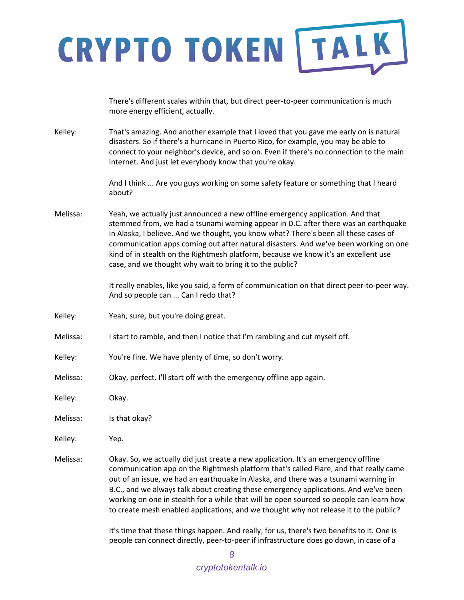There's different scales within that, but direct peer-to-peer communication is much more energy efficient, actually.

Kelley: That's amazing. And another example that I loved that you gave me early on is natural disasters. So if there's a hurricane in Puerto Rico, for example, you may be able to connect to your neighbor's device, and so on. Even if there's no connection to the main internet. And just let everybody know that you're okay.

> And I think ... Are you guys working on some safety feature or something that I heard about?

Melissa: Yeah, we actually just announced a new offline emergency application. And that stemmed from, we had a tsunami warning appear in D.C. after there was an earthquake in Alaska, I believe. And we thought, you know what? There's been all these cases of communication apps coming out after natural disasters. And we've been working on one kind of in stealth on the Rightmesh platform, because we know it's an excellent use case, and we thought why wait to bring it to the public?

> It really enables, like you said, a form of communication on that direct peer-to-peer way. And so people can ... Can I redo that?

- Kelley: Yeah, sure, but you're doing great.
- Melissa: I start to ramble, and then I notice that I'm rambling and cut myself off.
- Kelley: You're fine. We have plenty of time, so don't worry.
- Melissa: Okay, perfect. I'll start off with the emergency offline app again.

Kelley: Okay.

Melissa: Is that okay?

- Kelley: Yep.
- Melissa: Okay. So, we actually did just create a new application. It's an emergency offline communication app on the Rightmesh platform that's called Flare, and that really came out of an issue, we had an earthquake in Alaska, and there was a tsunami warning in B.C., and we always talk about creating these emergency applications. And we've been working on one in stealth for a while that will be open sourced so people can learn how to create mesh enabled applications, and we thought why not release it to the public?

It's time that these things happen. And really, for us, there's two benefits to it. One is people can connect directly, peer-to-peer if infrastructure does go down, in case of a

#### *8 cryptotokentalk.io*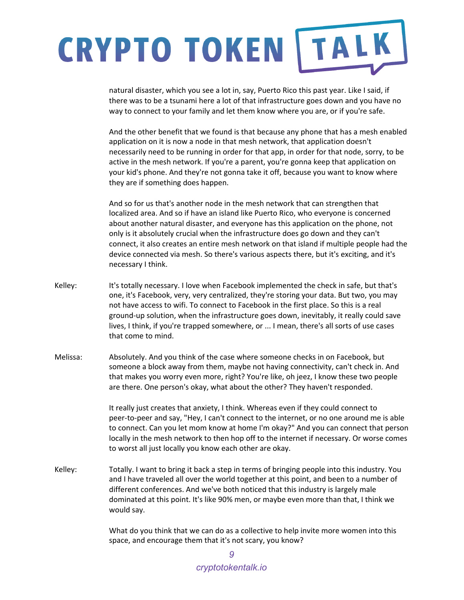natural disaster, which you see a lot in, say, Puerto Rico this past year. Like I said, if there was to be a tsunami here a lot of that infrastructure goes down and you have no way to connect to your family and let them know where you are, or if you're safe.

And the other benefit that we found is that because any phone that has a mesh enabled application on it is now a node in that mesh network, that application doesn't necessarily need to be running in order for that app, in order for that node, sorry, to be active in the mesh network. If you're a parent, you're gonna keep that application on your kid's phone. And they're not gonna take it off, because you want to know where they are if something does happen.

And so for us that's another node in the mesh network that can strengthen that localized area. And so if have an island like Puerto Rico, who everyone is concerned about another natural disaster, and everyone has this application on the phone, not only is it absolutely crucial when the infrastructure does go down and they can't connect, it also creates an entire mesh network on that island if multiple people had the device connected via mesh. So there's various aspects there, but it's exciting, and it's necessary I think.

- Kelley: It's totally necessary. I love when Facebook implemented the check in safe, but that's one, it's Facebook, very, very centralized, they're storing your data. But two, you may not have access to wifi. To connect to Facebook in the first place. So this is a real ground-up solution, when the infrastructure goes down, inevitably, it really could save lives, I think, if you're trapped somewhere, or ... I mean, there's all sorts of use cases that come to mind.
- Melissa: Absolutely. And you think of the case where someone checks in on Facebook, but someone a block away from them, maybe not having connectivity, can't check in. And that makes you worry even more, right? You're like, oh jeez, I know these two people are there. One person's okay, what about the other? They haven't responded.

It really just creates that anxiety, I think. Whereas even if they could connect to peer-to-peer and say, "Hey, I can't connect to the internet, or no one around me is able to connect. Can you let mom know at home I'm okay?" And you can connect that person locally in the mesh network to then hop off to the internet if necessary. Or worse comes to worst all just locally you know each other are okay.

Kelley: Totally. I want to bring it back a step in terms of bringing people into this industry. You and I have traveled all over the world together at this point, and been to a number of different conferences. And we've both noticed that this industry is largely male dominated at this point. It's like 90% men, or maybe even more than that, I think we would say.

> What do you think that we can do as a collective to help invite more women into this space, and encourage them that it's not scary, you know?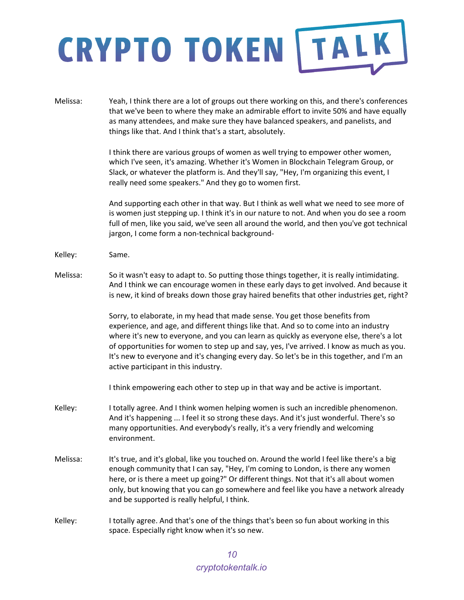Melissa: Yeah, I think there are a lot of groups out there working on this, and there's conferences that we've been to where they make an admirable effort to invite 50% and have equally as many attendees, and make sure they have balanced speakers, and panelists, and things like that. And I think that's a start, absolutely.

> I think there are various groups of women as well trying to empower other women, which I've seen, it's amazing. Whether it's Women in Blockchain Telegram Group, or Slack, or whatever the platform is. And they'll say, "Hey, I'm organizing this event, I really need some speakers." And they go to women first.

And supporting each other in that way. But I think as well what we need to see more of is women just stepping up. I think it's in our nature to not. And when you do see a room full of men, like you said, we've seen all around the world, and then you've got technical jargon, I come form a non-technical background-

- Kelley: Same.
- Melissa: So it wasn't easy to adapt to. So putting those things together, it is really intimidating. And I think we can encourage women in these early days to get involved. And because it is new, it kind of breaks down those gray haired benefits that other industries get, right?

Sorry, to elaborate, in my head that made sense. You get those benefits from experience, and age, and different things like that. And so to come into an industry where it's new to everyone, and you can learn as quickly as everyone else, there's a lot of opportunities for women to step up and say, yes, I've arrived. I know as much as you. It's new to everyone and it's changing every day. So let's be in this together, and I'm an active participant in this industry.

I think empowering each other to step up in that way and be active is important.

- Kelley: I totally agree. And I think women helping women is such an incredible phenomenon. And it's happening ... I feel it so strong these days. And it's just wonderful. There's so many opportunities. And everybody's really, it's a very friendly and welcoming environment.
- Melissa: It's true, and it's global, like you touched on. Around the world I feel like there's a big enough community that I can say, "Hey, I'm coming to London, is there any women here, or is there a meet up going?" Or different things. Not that it's all about women only, but knowing that you can go somewhere and feel like you have a network already and be supported is really helpful, I think.
- Kelley: I totally agree. And that's one of the things that's been so fun about working in this space. Especially right know when it's so new.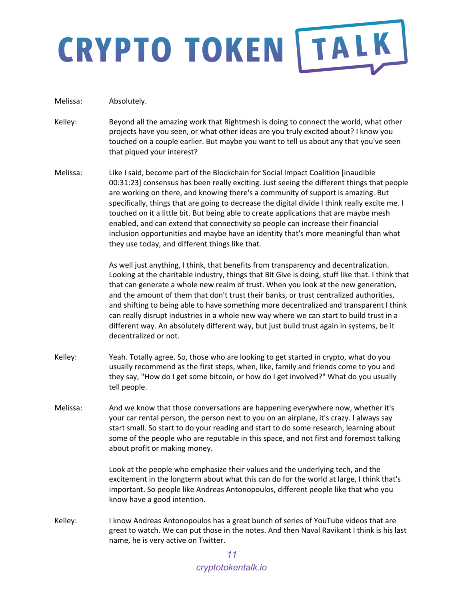#### Melissa: Absolutely.

- Kelley: Beyond all the amazing work that Rightmesh is doing to connect the world, what other projects have you seen, or what other ideas are you truly excited about? I know you touched on a couple earlier. But maybe you want to tell us about any that you've seen that piqued your interest?
- Melissa: Like I said, become part of the Blockchain for Social Impact Coalition [inaudible 00:31:23] consensus has been really exciting. Just seeing the different things that people are working on there, and knowing there's a community of support is amazing. But specifically, things that are going to decrease the digital divide I think really excite me. I touched on it a little bit. But being able to create applications that are maybe mesh enabled, and can extend that connectivity so people can increase their financial inclusion opportunities and maybe have an identity that's more meaningful than what they use today, and different things like that.

As well just anything, I think, that benefits from transparency and decentralization. Looking at the charitable industry, things that Bit Give is doing, stuff like that. I think that that can generate a whole new realm of trust. When you look at the new generation, and the amount of them that don't trust their banks, or trust centralized authorities, and shifting to being able to have something more decentralized and transparent I think can really disrupt industries in a whole new way where we can start to build trust in a different way. An absolutely different way, but just build trust again in systems, be it decentralized or not.

- Kelley: Yeah. Totally agree. So, those who are looking to get started in crypto, what do you usually recommend as the first steps, when, like, family and friends come to you and they say, "How do I get some bitcoin, or how do I get involved?" What do you usually tell people.
- Melissa: And we know that those conversations are happening everywhere now, whether it's your car rental person, the person next to you on an airplane, it's crazy. I always say start small. So start to do your reading and start to do some research, learning about some of the people who are reputable in this space, and not first and foremost talking about profit or making money.

Look at the people who emphasize their values and the underlying tech, and the excitement in the longterm about what this can do for the world at large, I think that's important. So people like Andreas Antonopoulos, different people like that who you know have a good intention.

Kelley: I know Andreas Antonopoulos has a great bunch of series of YouTube videos that are great to watch. We can put those in the notes. And then Naval Ravikant I think is his last name, he is very active on Twitter.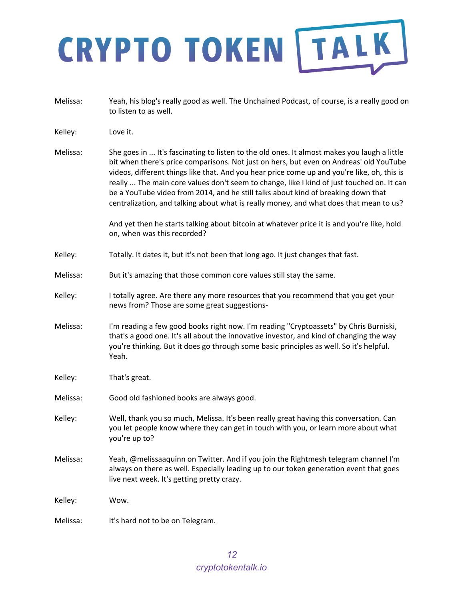Melissa: Yeah, his blog's really good as well. The Unchained Podcast, of course, is a really good on to listen to as well.

Kelley: Love it.

Melissa: She goes in ... It's fascinating to listen to the old ones. It almost makes you laugh a little bit when there's price comparisons. Not just on hers, but even on Andreas' old YouTube videos, different things like that. And you hear price come up and you're like, oh, this is really ... The main core values don't seem to change, like I kind of just touched on. It can be a YouTube video from 2014, and he still talks about kind of breaking down that centralization, and talking about what is really money, and what does that mean to us?

> And yet then he starts talking about bitcoin at whatever price it is and you're like, hold on, when was this recorded?

- Kelley: Totally. It dates it, but it's not been that long ago. It just changes that fast.
- Melissa: But it's amazing that those common core values still stay the same.
- Kelley: I totally agree. Are there any more resources that you recommend that you get your news from? Those are some great suggestions-
- Melissa: I'm reading a few good books right now. I'm reading "Cryptoassets" by Chris Burniski, that's a good one. It's all about the innovative investor, and kind of changing the way you're thinking. But it does go through some basic principles as well. So it's helpful. Yeah.
- Kelley: That's great.
- Melissa: Good old fashioned books are always good.
- Kelley: Well, thank you so much, Melissa. It's been really great having this conversation. Can you let people know where they can get in touch with you, or learn more about what you're up to?
- Melissa: Yeah, @melissaaquinn on Twitter. And if you join the Rightmesh telegram channel I'm always on there as well. Especially leading up to our token generation event that goes live next week. It's getting pretty crazy.

Kelley: Wow.

Melissa: It's hard not to be on Telegram.